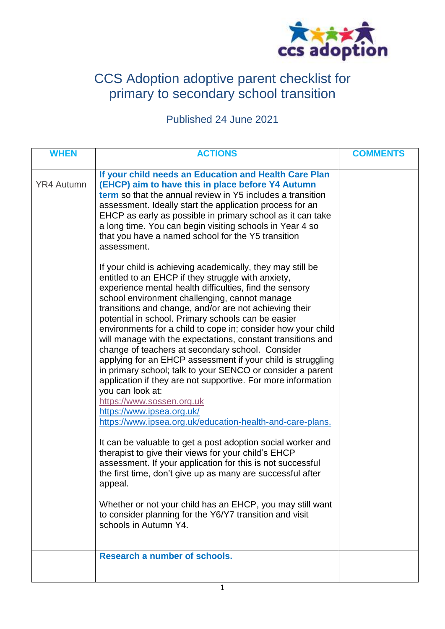

# CCS Adoption adoptive parent checklist for primary to secondary school transition

Published 24 June 2021

| <b>WHEN</b>       | <b>ACTIONS</b>                                                                                                                                                                                                                                                                                                                                                                                                                                                                                                                                                                                                                                                                                                                                                                                                                                                          | <b>COMMENTS</b> |
|-------------------|-------------------------------------------------------------------------------------------------------------------------------------------------------------------------------------------------------------------------------------------------------------------------------------------------------------------------------------------------------------------------------------------------------------------------------------------------------------------------------------------------------------------------------------------------------------------------------------------------------------------------------------------------------------------------------------------------------------------------------------------------------------------------------------------------------------------------------------------------------------------------|-----------------|
| <b>YR4 Autumn</b> | If your child needs an Education and Health Care Plan<br>(EHCP) aim to have this in place before Y4 Autumn<br><b>term</b> so that the annual review in Y5 includes a transition<br>assessment. Ideally start the application process for an<br>EHCP as early as possible in primary school as it can take<br>a long time. You can begin visiting schools in Year 4 so<br>that you have a named school for the Y5 transition<br>assessment.                                                                                                                                                                                                                                                                                                                                                                                                                              |                 |
|                   | If your child is achieving academically, they may still be<br>entitled to an EHCP if they struggle with anxiety,<br>experience mental health difficulties, find the sensory<br>school environment challenging, cannot manage<br>transitions and change, and/or are not achieving their<br>potential in school. Primary schools can be easier<br>environments for a child to cope in; consider how your child<br>will manage with the expectations, constant transitions and<br>change of teachers at secondary school. Consider<br>applying for an EHCP assessment if your child is struggling<br>in primary school; talk to your SENCO or consider a parent<br>application if they are not supportive. For more information<br>you can look at:<br>https://www.sossen.org.uk<br>https://www.ipsea.org.uk/<br>https://www.ipsea.org.uk/education-health-and-care-plans. |                 |
|                   | It can be valuable to get a post adoption social worker and<br>therapist to give their views for your child's EHCP<br>assessment. If your application for this is not successful<br>the first time, don't give up as many are successful after<br>appeal.                                                                                                                                                                                                                                                                                                                                                                                                                                                                                                                                                                                                               |                 |
|                   | Whether or not your child has an EHCP, you may still want<br>to consider planning for the Y6/Y7 transition and visit<br>schools in Autumn Y4.                                                                                                                                                                                                                                                                                                                                                                                                                                                                                                                                                                                                                                                                                                                           |                 |
|                   | Research a number of schools.                                                                                                                                                                                                                                                                                                                                                                                                                                                                                                                                                                                                                                                                                                                                                                                                                                           |                 |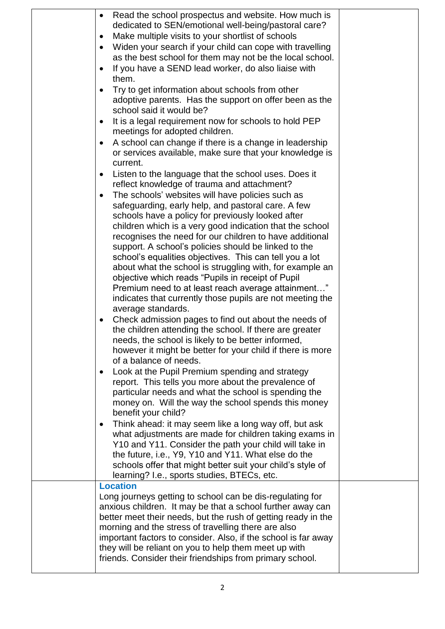| Read the school prospectus and website. How much is                                                               |  |
|-------------------------------------------------------------------------------------------------------------------|--|
| dedicated to SEN/emotional well-being/pastoral care?<br>Make multiple visits to your shortlist of schools         |  |
| ٠<br>Widen your search if your child can cope with travelling<br>٠                                                |  |
| as the best school for them may not be the local school.                                                          |  |
| If you have a SEND lead worker, do also liaise with<br>$\bullet$                                                  |  |
| them.                                                                                                             |  |
| Try to get information about schools from other<br>$\bullet$                                                      |  |
| adoptive parents. Has the support on offer been as the                                                            |  |
| school said it would be?                                                                                          |  |
| It is a legal requirement now for schools to hold PEP<br>$\bullet$<br>meetings for adopted children.              |  |
| A school can change if there is a change in leadership<br>٠                                                       |  |
| or services available, make sure that your knowledge is                                                           |  |
| current.                                                                                                          |  |
| Listen to the language that the school uses. Does it<br>٠                                                         |  |
| reflect knowledge of trauma and attachment?                                                                       |  |
| The schools' websites will have policies such as<br>٠                                                             |  |
| safeguarding, early help, and pastoral care. A few<br>schools have a policy for previously looked after           |  |
| children which is a very good indication that the school                                                          |  |
| recognises the need for our children to have additional                                                           |  |
| support. A school's policies should be linked to the                                                              |  |
| school's equalities objectives. This can tell you a lot                                                           |  |
| about what the school is struggling with, for example an<br>objective which reads "Pupils in receipt of Pupil     |  |
| Premium need to at least reach average attainment"                                                                |  |
| indicates that currently those pupils are not meeting the                                                         |  |
| average standards.                                                                                                |  |
| Check admission pages to find out about the needs of<br>٠                                                         |  |
| the children attending the school. If there are greater                                                           |  |
| needs, the school is likely to be better informed,<br>however it might be better for your child if there is more  |  |
| of a balance of needs.                                                                                            |  |
| Look at the Pupil Premium spending and strategy<br>٠                                                              |  |
| report. This tells you more about the prevalence of                                                               |  |
| particular needs and what the school is spending the                                                              |  |
| money on. Will the way the school spends this money                                                               |  |
| benefit your child?<br>Think ahead: it may seem like a long way off, but ask<br>$\bullet$                         |  |
| what adjustments are made for children taking exams in                                                            |  |
| Y10 and Y11. Consider the path your child will take in                                                            |  |
| the future, i.e., Y9, Y10 and Y11. What else do the                                                               |  |
| schools offer that might better suit your child's style of                                                        |  |
| learning? I.e., sports studies, BTECs, etc.<br><b>Location</b>                                                    |  |
| Long journeys getting to school can be dis-regulating for                                                         |  |
| anxious children. It may be that a school further away can                                                        |  |
| better meet their needs, but the rush of getting ready in the                                                     |  |
| morning and the stress of travelling there are also                                                               |  |
| important factors to consider. Also, if the school is far away                                                    |  |
| they will be reliant on you to help them meet up with<br>friends. Consider their friendships from primary school. |  |
|                                                                                                                   |  |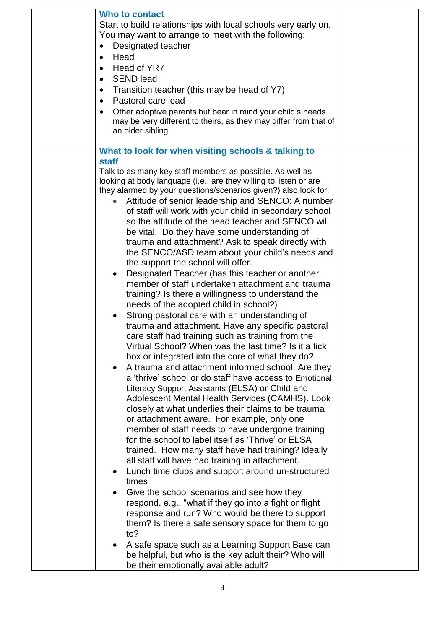| Head of YR7<br><b>SEND lead</b><br>$\bullet$<br>Transition teacher (this may be head of Y7)<br>٠<br>Pastoral care lead<br>$\bullet$<br>Other adoptive parents but bear in mind your child's needs<br>may be very different to theirs, as they may differ from that of<br>an older sibling.                                                                                                                                                                                                                                                                                                                                                                                                                                                                                                                                                                                                                                                                                                                                                                                                                                                                                                                                                                                                                                                                                                                                                                                                                                                                                                                                                                                                                                                                                                                                                                                                                                                                                                                                                                                                                                                            |  |
|-------------------------------------------------------------------------------------------------------------------------------------------------------------------------------------------------------------------------------------------------------------------------------------------------------------------------------------------------------------------------------------------------------------------------------------------------------------------------------------------------------------------------------------------------------------------------------------------------------------------------------------------------------------------------------------------------------------------------------------------------------------------------------------------------------------------------------------------------------------------------------------------------------------------------------------------------------------------------------------------------------------------------------------------------------------------------------------------------------------------------------------------------------------------------------------------------------------------------------------------------------------------------------------------------------------------------------------------------------------------------------------------------------------------------------------------------------------------------------------------------------------------------------------------------------------------------------------------------------------------------------------------------------------------------------------------------------------------------------------------------------------------------------------------------------------------------------------------------------------------------------------------------------------------------------------------------------------------------------------------------------------------------------------------------------------------------------------------------------------------------------------------------------|--|
| What to look for when visiting schools & talking to<br><b>staff</b><br>Talk to as many key staff members as possible. As well as<br>looking at body language (i.e., are they willing to listen or are<br>they alarmed by your questions/scenarios given?) also look for:<br>Attitude of senior leadership and SENCO: A number<br>of staff will work with your child in secondary school<br>so the attitude of the head teacher and SENCO will<br>be vital. Do they have some understanding of<br>trauma and attachment? Ask to speak directly with<br>the SENCO/ASD team about your child's needs and<br>the support the school will offer.<br>Designated Teacher (has this teacher or another<br>$\bullet$<br>member of staff undertaken attachment and trauma<br>training? Is there a willingness to understand the<br>needs of the adopted child in school?)<br>Strong pastoral care with an understanding of<br>$\bullet$<br>trauma and attachment. Have any specific pastoral<br>care staff had training such as training from the<br>Virtual School? When was the last time? Is it a tick<br>box or integrated into the core of what they do?<br>A trauma and attachment informed school. Are they<br>a 'thrive' school or do staff have access to Emotional<br>Literacy Support Assistants (ELSA) or Child and<br>Adolescent Mental Health Services (CAMHS). Look<br>closely at what underlies their claims to be trauma<br>or attachment aware. For example, only one<br>member of staff needs to have undergone training<br>for the school to label itself as 'Thrive' or ELSA<br>trained. How many staff have had training? Ideally<br>all staff will have had training in attachment.<br>Lunch time clubs and support around un-structured<br>٠<br>times<br>Give the school scenarios and see how they<br>respond, e.g., "what if they go into a fight or flight<br>response and run? Who would be there to support<br>them? Is there a safe sensory space for them to go<br>to?<br>A safe space such as a Learning Support Base can<br>٠<br>be helpful, but who is the key adult their? Who will<br>be their emotionally available adult? |  |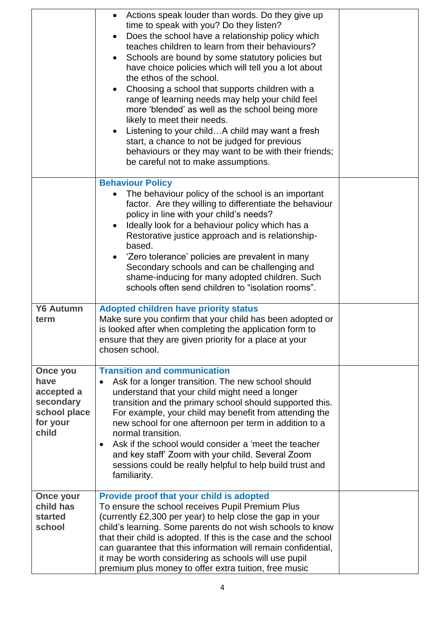|                                                                      | Actions speak louder than words. Do they give up<br>time to speak with you? Do they listen?<br>Does the school have a relationship policy which<br>teaches children to learn from their behaviours?<br>Schools are bound by some statutory policies but<br>have choice policies which will tell you a lot about<br>the ethos of the school.<br>Choosing a school that supports children with a<br>range of learning needs may help your child feel<br>more 'blended' as well as the school being more<br>likely to meet their needs.<br>Listening to your childA child may want a fresh<br>$\bullet$<br>start, a chance to not be judged for previous<br>behaviours or they may want to be with their friends;<br>be careful not to make assumptions. |  |
|----------------------------------------------------------------------|-------------------------------------------------------------------------------------------------------------------------------------------------------------------------------------------------------------------------------------------------------------------------------------------------------------------------------------------------------------------------------------------------------------------------------------------------------------------------------------------------------------------------------------------------------------------------------------------------------------------------------------------------------------------------------------------------------------------------------------------------------|--|
|                                                                      | <b>Behaviour Policy</b>                                                                                                                                                                                                                                                                                                                                                                                                                                                                                                                                                                                                                                                                                                                               |  |
|                                                                      | The behaviour policy of the school is an important<br>factor. Are they willing to differentiate the behaviour<br>policy in line with your child's needs?<br>Ideally look for a behaviour policy which has a<br>Restorative justice approach and is relationship-<br>based.<br>'Zero tolerance' policies are prevalent in many<br>Secondary schools and can be challenging and<br>shame-inducing for many adopted children. Such<br>schools often send children to "isolation rooms".                                                                                                                                                                                                                                                                  |  |
| <b>Y6 Autumn</b>                                                     | <b>Adopted children have priority status</b>                                                                                                                                                                                                                                                                                                                                                                                                                                                                                                                                                                                                                                                                                                          |  |
| term                                                                 | Make sure you confirm that your child has been adopted or<br>is looked after when completing the application form to<br>ensure that they are given priority for a place at your<br>chosen school.                                                                                                                                                                                                                                                                                                                                                                                                                                                                                                                                                     |  |
| Once you                                                             | <b>Transition and communication</b>                                                                                                                                                                                                                                                                                                                                                                                                                                                                                                                                                                                                                                                                                                                   |  |
| have<br>accepted a<br>secondary<br>school place<br>for your<br>child | Ask for a longer transition. The new school should<br>$\bullet$<br>understand that your child might need a longer<br>transition and the primary school should supported this.<br>For example, your child may benefit from attending the<br>new school for one afternoon per term in addition to a<br>normal transition.<br>Ask if the school would consider a 'meet the teacher<br>$\bullet$<br>and key staff' Zoom with your child. Several Zoom<br>sessions could be really helpful to help build trust and<br>familiarity.                                                                                                                                                                                                                         |  |
| <b>Once your</b><br>child has                                        | Provide proof that your child is adopted<br>To ensure the school receives Pupil Premium Plus                                                                                                                                                                                                                                                                                                                                                                                                                                                                                                                                                                                                                                                          |  |
| started<br>school                                                    | (currently £2,300 per year) to help close the gap in your<br>child's learning. Some parents do not wish schools to know<br>that their child is adopted. If this is the case and the school<br>can guarantee that this information will remain confidential,<br>it may be worth considering as schools will use pupil<br>premium plus money to offer extra tuition, free music                                                                                                                                                                                                                                                                                                                                                                         |  |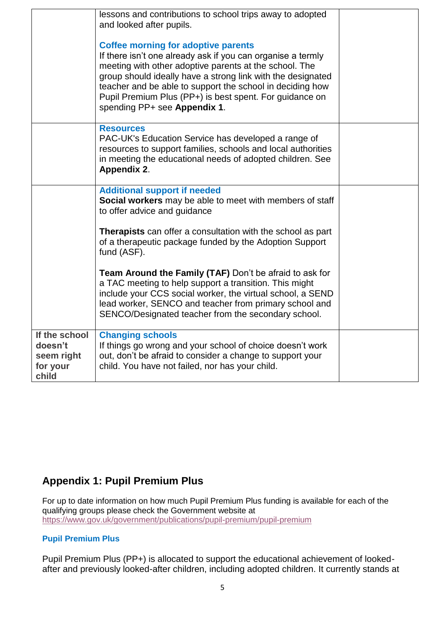|                                                             | lessons and contributions to school trips away to adopted<br>and looked after pupils.                                                                                                                                                                                                                                                                                                      |  |
|-------------------------------------------------------------|--------------------------------------------------------------------------------------------------------------------------------------------------------------------------------------------------------------------------------------------------------------------------------------------------------------------------------------------------------------------------------------------|--|
|                                                             | <b>Coffee morning for adoptive parents</b><br>If there isn't one already ask if you can organise a termly<br>meeting with other adoptive parents at the school. The<br>group should ideally have a strong link with the designated<br>teacher and be able to support the school in deciding how<br>Pupil Premium Plus (PP+) is best spent. For guidance on<br>spending PP+ see Appendix 1. |  |
|                                                             | <b>Resources</b><br>PAC-UK's Education Service has developed a range of<br>resources to support families, schools and local authorities<br>in meeting the educational needs of adopted children. See<br><b>Appendix 2.</b>                                                                                                                                                                 |  |
|                                                             | <b>Additional support if needed</b><br><b>Social workers</b> may be able to meet with members of staff<br>to offer advice and guidance                                                                                                                                                                                                                                                     |  |
|                                                             | <b>Therapists</b> can offer a consultation with the school as part<br>of a therapeutic package funded by the Adoption Support<br>fund (ASF).                                                                                                                                                                                                                                               |  |
|                                                             | Team Around the Family (TAF) Don't be afraid to ask for<br>a TAC meeting to help support a transition. This might<br>include your CCS social worker, the virtual school, a SEND<br>lead worker, SENCO and teacher from primary school and<br>SENCO/Designated teacher from the secondary school.                                                                                           |  |
| If the school<br>doesn't<br>seem right<br>for your<br>child | <b>Changing schools</b><br>If things go wrong and your school of choice doesn't work<br>out, don't be afraid to consider a change to support your<br>child. You have not failed, nor has your child.                                                                                                                                                                                       |  |

# **Appendix 1: Pupil Premium Plus**

For up to date information on how much Pupil Premium Plus funding is available for each of the qualifying groups please check the Government website at <https://www.gov.uk/government/publications/pupil-premium/pupil-premium>

## **Pupil Premium Plus**

Pupil Premium Plus (PP+) is allocated to support the educational achievement of lookedafter and previously looked-after children, including adopted children. It currently stands at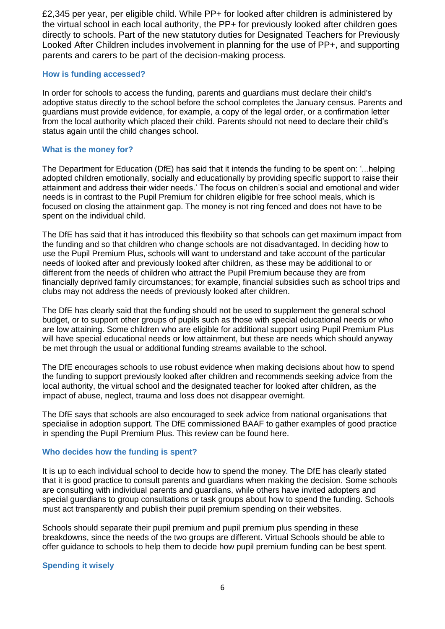£2,345 per year, per eligible child. While PP+ for looked after children is administered by the virtual school in each local authority, the PP+ for previously looked after children goes directly to schools. Part of the new statutory duties for Designated Teachers for Previously Looked After Children includes involvement in planning for the use of PP+, and supporting parents and carers to be part of the decision-making process.

#### **How is funding accessed?**

In order for schools to access the funding, parents and guardians must declare their child's adoptive status directly to the school before the school completes the January census. Parents and guardians must provide evidence, for example, a copy of the legal order, or a confirmation letter from the local authority which placed their child. Parents should not need to declare their child's status again until the child changes school.

#### **What is the money for?**

The Department for Education (DfE) has said that it intends the funding to be spent on: '...helping adopted children emotionally, socially and educationally by providing specific support to raise their attainment and address their wider needs.' The focus on children's social and emotional and wider needs is in contrast to the Pupil Premium for children eligible for free school meals, which is focused on closing the attainment gap. The money is not ring fenced and does not have to be spent on the individual child.

The DfE has said that it has introduced this flexibility so that schools can get maximum impact from the funding and so that children who change schools are not disadvantaged. In deciding how to use the Pupil Premium Plus, schools will want to understand and take account of the particular needs of looked after and previously looked after children, as these may be additional to or different from the needs of children who attract the Pupil Premium because they are from financially deprived family circumstances; for example, financial subsidies such as school trips and clubs may not address the needs of previously looked after children.

The DfE has clearly said that the funding should not be used to supplement the general school budget, or to support other groups of pupils such as those with special educational needs or who are low attaining. Some children who are eligible for additional support using Pupil Premium Plus will have special educational needs or low attainment, but these are needs which should anyway be met through the usual or additional funding streams available to the school.

The DfE encourages schools to use robust evidence when making decisions about how to spend the funding to support previously looked after children and recommends seeking advice from the local authority, the virtual school and the designated teacher for looked after children, as the impact of abuse, neglect, trauma and loss does not disappear overnight.

The DfE says that schools are also encouraged to seek advice from national organisations that specialise in adoption support. The DfE commissioned BAAF to gather examples of good practice in spending the Pupil Premium Plus. This review can be found here.

#### **Who decides how the funding is spent?**

It is up to each individual school to decide how to spend the money. The DfE has clearly stated that it is good practice to consult parents and guardians when making the decision. Some schools are consulting with individual parents and guardians, while others have invited adopters and special guardians to group consultations or task groups about how to spend the funding. Schools must act transparently and publish their pupil premium spending on their websites.

Schools should separate their pupil premium and pupil premium plus spending in these breakdowns, since the needs of the two groups are different. Virtual Schools should be able to offer guidance to schools to help them to decide how pupil premium funding can be best spent.

#### **Spending it wisely**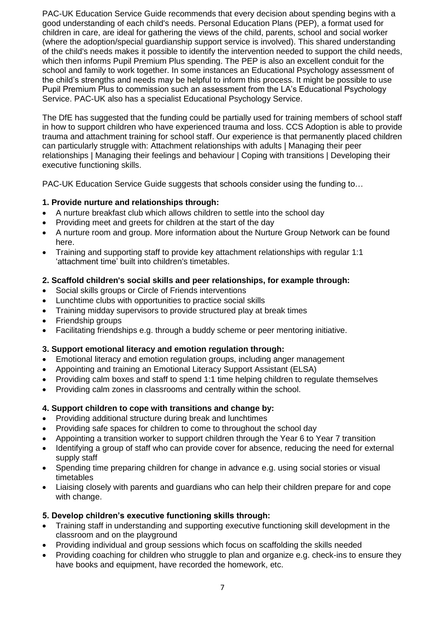PAC-UK Education Service Guide recommends that every decision about spending begins with a good understanding of each child's needs. Personal Education Plans (PEP), a format used for children in care, are ideal for gathering the views of the child, parents, school and social worker (where the adoption/special guardianship support service is involved). This shared understanding of the child's needs makes it possible to identify the intervention needed to support the child needs, which then informs Pupil Premium Plus spending. The PEP is also an excellent conduit for the school and family to work together. In some instances an Educational Psychology assessment of the child's strengths and needs may be helpful to inform this process. It might be possible to use Pupil Premium Plus to commission such an assessment from the LA's Educational Psychology Service. PAC-UK also has a specialist Educational Psychology Service.

The DfE has suggested that the funding could be partially used for training members of school staff in how to support children who have experienced trauma and loss. CCS Adoption is able to provide trauma and attachment training for school staff. Our experience is that permanently placed children can particularly struggle with: Attachment relationships with adults | Managing their peer relationships | Managing their feelings and behaviour | Coping with transitions | Developing their executive functioning skills.

PAC-UK Education Service Guide suggests that schools consider using the funding to…

### **1. Provide nurture and relationships through:**

- A nurture breakfast club which allows children to settle into the school day
- Providing meet and greets for children at the start of the day
- A nurture room and group. More information about the Nurture Group Network can be found here.
- Training and supporting staff to provide key attachment relationships with regular 1:1 'attachment time' built into children's timetables.

#### **2. Scaffold children's social skills and peer relationships, for example through:**

- Social skills groups or Circle of Friends interventions
- Lunchtime clubs with opportunities to practice social skills
- Training midday supervisors to provide structured play at break times
- Friendship groups
- Facilitating friendships e.g. through a buddy scheme or peer mentoring initiative.

#### **3. Support emotional literacy and emotion regulation through:**

- Emotional literacy and emotion regulation groups, including anger management
- Appointing and training an Emotional Literacy Support Assistant (ELSA)
- Providing calm boxes and staff to spend 1:1 time helping children to regulate themselves
- Providing calm zones in classrooms and centrally within the school.

## **4. Support children to cope with transitions and change by:**

- Providing additional structure during break and lunchtimes
- Providing safe spaces for children to come to throughout the school day
- Appointing a transition worker to support children through the Year 6 to Year 7 transition
- Identifying a group of staff who can provide cover for absence, reducing the need for external supply staff
- Spending time preparing children for change in advance e.g. using social stories or visual timetables
- Liaising closely with parents and guardians who can help their children prepare for and cope with change.

#### **5. Develop children's executive functioning skills through:**

- Training staff in understanding and supporting executive functioning skill development in the classroom and on the playground
- Providing individual and group sessions which focus on scaffolding the skills needed
- Providing coaching for children who struggle to plan and organize e.g. check-ins to ensure they have books and equipment, have recorded the homework, etc.